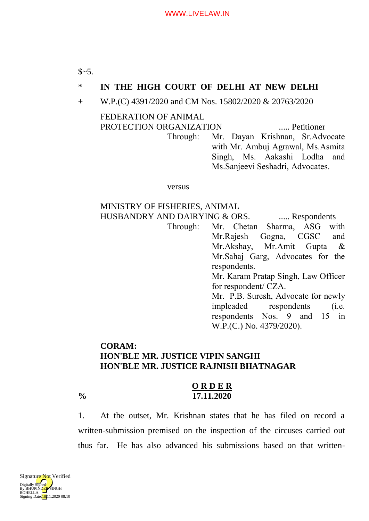# \* **IN THE HIGH COURT OF DELHI AT NEW DELHI**

+ W.P.(C) 4391/2020 and CM Nos. 15802/2020 & 20763/2020

### FEDERATION OF ANIMAL PROTECTION ORGANIZATION ..... Petitioner

Through: Mr. Dayan Krishnan, Sr.Advocate with Mr. Ambuj Agrawal, Ms.Asmita Singh, Ms. Aakashi Lodha and Ms.Sanjeevi Seshadri, Advocates.

versus

## MINISTRY OF FISHERIES, ANIMAL HUSBANDRY AND DAIRYING & ORS. ..... Respondents

Through: Mr. Chetan Sharma, ASG with Mr.Rajesh Gogna, CGSC and Mr.Akshay, Mr.Amit Gupta & Mr.Sahaj Garg, Advocates for the respondents. Mr. Karam Pratap Singh, Law Officer for respondent/ CZA.

Mr. P.B. Suresh, Advocate for newly impleaded respondents (i.e. respondents Nos. 9 and 15 in W.P.(C.) No. 4379/2020).

# **CORAM: HON'BLE MR. JUSTICE VIPIN SANGHI HON'BLE MR. JUSTICE RAJNISH BHATNAGAR**

## **O R D E R % 17.11.2020**

1. At the outset, Mr. Krishnan states that he has filed on record a written-submission premised on the inspection of the circuses carried out thus far. He has also advanced his submissions based on that written-

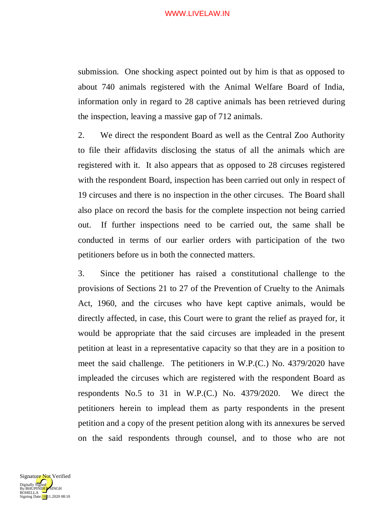#### WWW.LIVELAW.IN

submission. One shocking aspect pointed out by him is that as opposed to about 740 animals registered with the Animal Welfare Board of India, information only in regard to 28 captive animals has been retrieved during the inspection, leaving a massive gap of 712 animals.

2. We direct the respondent Board as well as the Central Zoo Authority to file their affidavits disclosing the status of all the animals which are registered with it. It also appears that as opposed to 28 circuses registered with the respondent Board, inspection has been carried out only in respect of 19 circuses and there is no inspection in the other circuses. The Board shall also place on record the basis for the complete inspection not being carried out. If further inspections need to be carried out, the same shall be conducted in terms of our earlier orders with participation of the two petitioners before us in both the connected matters.

3. Since the petitioner has raised a constitutional challenge to the provisions of Sections 21 to 27 of the Prevention of Cruelty to the Animals Act, 1960, and the circuses who have kept captive animals, would be directly affected, in case, this Court were to grant the relief as prayed for, it would be appropriate that the said circuses are impleaded in the present petition at least in a representative capacity so that they are in a position to meet the said challenge. The petitioners in W.P.(C.) No. 4379/2020 have impleaded the circuses which are registered with the respondent Board as respondents No.5 to 31 in W.P.(C.) No. 4379/2020. We direct the petitioners herein to implead them as party respondents in the present petition and a copy of the present petition along with its annexures be served on the said respondents through counsel, and to those who are not